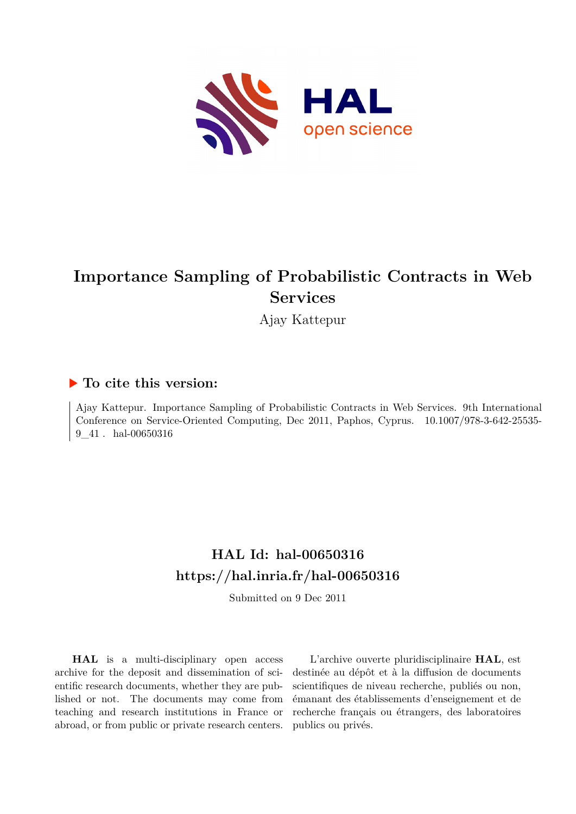

# **Importance Sampling of Probabilistic Contracts in Web Services**

Ajay Kattepur

# **To cite this version:**

Ajay Kattepur. Importance Sampling of Probabilistic Contracts in Web Services. 9th International Conference on Service-Oriented Computing, Dec 2011, Paphos, Cyprus. 10.1007/978-3-642-25535- $9_41$ . hal-00650316

# **HAL Id: hal-00650316 <https://hal.inria.fr/hal-00650316>**

Submitted on 9 Dec 2011

**HAL** is a multi-disciplinary open access archive for the deposit and dissemination of scientific research documents, whether they are published or not. The documents may come from teaching and research institutions in France or abroad, or from public or private research centers.

L'archive ouverte pluridisciplinaire **HAL**, est destinée au dépôt et à la diffusion de documents scientifiques de niveau recherche, publiés ou non, émanant des établissements d'enseignement et de recherche français ou étrangers, des laboratoires publics ou privés.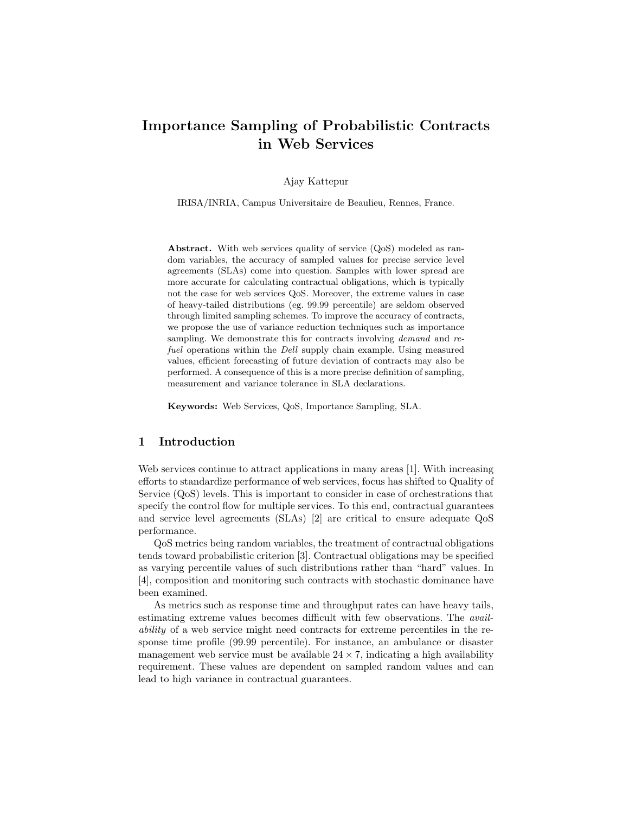# Importance Sampling of Probabilistic Contracts in Web Services

#### Ajay Kattepur

IRISA/INRIA, Campus Universitaire de Beaulieu, Rennes, France.

Abstract. With web services quality of service (QoS) modeled as random variables, the accuracy of sampled values for precise service level agreements (SLAs) come into question. Samples with lower spread are more accurate for calculating contractual obligations, which is typically not the case for web services QoS. Moreover, the extreme values in case of heavy-tailed distributions (eg. 99.99 percentile) are seldom observed through limited sampling schemes. To improve the accuracy of contracts, we propose the use of variance reduction techniques such as importance sampling. We demonstrate this for contracts involving *demand* and refuel operations within the *Dell* supply chain example. Using measured values, efficient forecasting of future deviation of contracts may also be performed. A consequence of this is a more precise definition of sampling, measurement and variance tolerance in SLA declarations.

Keywords: Web Services, QoS, Importance Sampling, SLA.

#### 1 Introduction

Web services continue to attract applications in many areas [1]. With increasing efforts to standardize performance of web services, focus has shifted to Quality of Service (QoS) levels. This is important to consider in case of orchestrations that specify the control flow for multiple services. To this end, contractual guarantees and service level agreements (SLAs) [2] are critical to ensure adequate QoS performance.

QoS metrics being random variables, the treatment of contractual obligations tends toward probabilistic criterion [3]. Contractual obligations may be specified as varying percentile values of such distributions rather than "hard" values. In [4], composition and monitoring such contracts with stochastic dominance have been examined.

As metrics such as response time and throughput rates can have heavy tails, estimating extreme values becomes difficult with few observations. The availability of a web service might need contracts for extreme percentiles in the response time profile (99.99 percentile). For instance, an ambulance or disaster management web service must be available  $24 \times 7$ , indicating a high availability requirement. These values are dependent on sampled random values and can lead to high variance in contractual guarantees.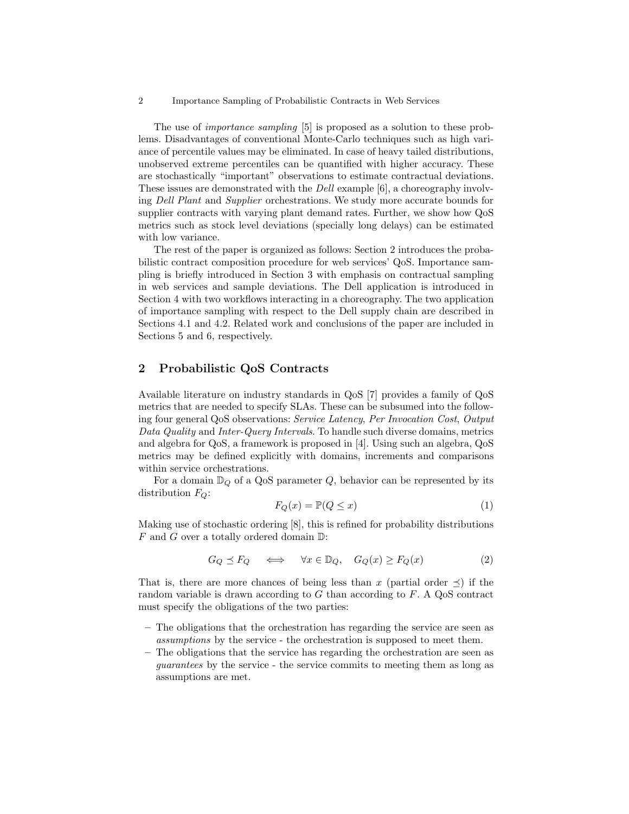#### 2 Importance Sampling of Probabilistic Contracts in Web Services

The use of *importance sampling* [5] is proposed as a solution to these problems. Disadvantages of conventional Monte-Carlo techniques such as high variance of percentile values may be eliminated. In case of heavy tailed distributions, unobserved extreme percentiles can be quantified with higher accuracy. These are stochastically "important" observations to estimate contractual deviations. These issues are demonstrated with the Dell example [6], a choreography involving Dell Plant and Supplier orchestrations. We study more accurate bounds for supplier contracts with varying plant demand rates. Further, we show how QoS metrics such as stock level deviations (specially long delays) can be estimated with low variance.

The rest of the paper is organized as follows: Section 2 introduces the probabilistic contract composition procedure for web services' QoS. Importance sampling is briefly introduced in Section 3 with emphasis on contractual sampling in web services and sample deviations. The Dell application is introduced in Section 4 with two workflows interacting in a choreography. The two application of importance sampling with respect to the Dell supply chain are described in Sections 4.1 and 4.2. Related work and conclusions of the paper are included in Sections 5 and 6, respectively.

### 2 Probabilistic QoS Contracts

Available literature on industry standards in QoS [7] provides a family of QoS metrics that are needed to specify SLAs. These can be subsumed into the following four general QoS observations: Service Latency, Per Invocation Cost, Output Data Quality and Inter-Query Intervals. To handle such diverse domains, metrics and algebra for QoS, a framework is proposed in [4]. Using such an algebra, QoS metrics may be defined explicitly with domains, increments and comparisons within service orchestrations.

For a domain  $\mathbb{D}_Q$  of a QoS parameter  $Q$ , behavior can be represented by its distribution  $F_Q$ :

$$
F_Q(x) = \mathbb{P}(Q \le x)
$$
\n<sup>(1)</sup>

Making use of stochastic ordering [8], this is refined for probability distributions  $F$  and  $G$  over a totally ordered domain  $D$ :

$$
G_Q \preceq F_Q \quad \iff \quad \forall x \in \mathbb{D}_Q, \quad G_Q(x) \ge F_Q(x) \tag{2}
$$

That is, there are more chances of being less than x (partial order  $\preceq$ ) if the random variable is drawn according to  $G$  than according to  $F$ . A QoS contract must specify the obligations of the two parties:

- The obligations that the orchestration has regarding the service are seen as assumptions by the service - the orchestration is supposed to meet them.
- The obligations that the service has regarding the orchestration are seen as guarantees by the service - the service commits to meeting them as long as assumptions are met.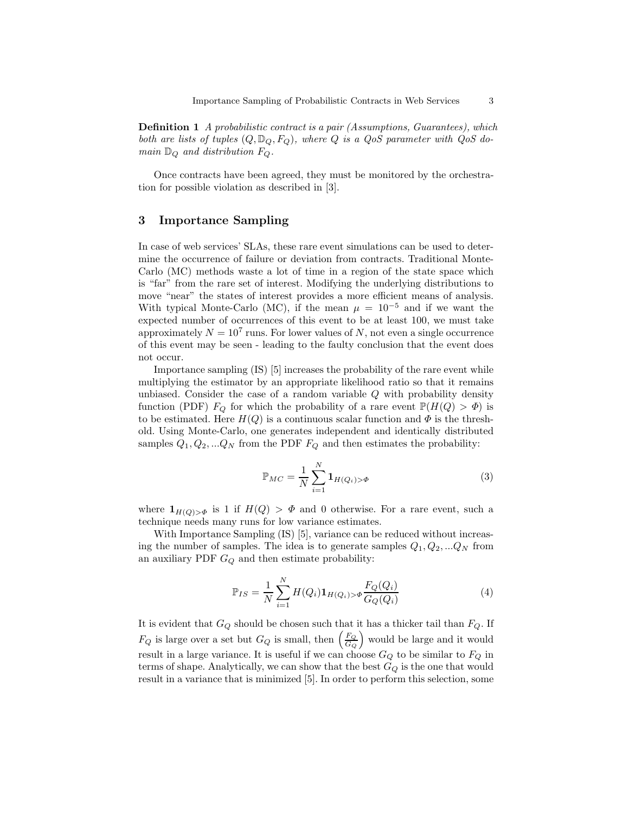Definition 1 A probabilistic contract is a pair (Assumptions, Guarantees), which both are lists of tuples  $(Q, \mathbb{D}_Q, F_Q)$ , where Q is a QoS parameter with QoS domain  $\mathbb{D}_Q$  and distribution  $F_Q$ .

Once contracts have been agreed, they must be monitored by the orchestration for possible violation as described in [3].

## 3 Importance Sampling

In case of web services' SLAs, these rare event simulations can be used to determine the occurrence of failure or deviation from contracts. Traditional Monte-Carlo (MC) methods waste a lot of time in a region of the state space which is "far" from the rare set of interest. Modifying the underlying distributions to move "near" the states of interest provides a more efficient means of analysis. With typical Monte-Carlo (MC), if the mean  $\mu = 10^{-5}$  and if we want the expected number of occurrences of this event to be at least 100, we must take approximately  $N = 10^7$  runs. For lower values of N, not even a single occurrence of this event may be seen - leading to the faulty conclusion that the event does not occur.

Importance sampling (IS) [5] increases the probability of the rare event while multiplying the estimator by an appropriate likelihood ratio so that it remains unbiased. Consider the case of a random variable  $Q$  with probability density function (PDF)  $F_Q$  for which the probability of a rare event  $\mathbb{P}(H(Q) > \Phi)$  is to be estimated. Here  $H(Q)$  is a continuous scalar function and  $\Phi$  is the threshold. Using Monte-Carlo, one generates independent and identically distributed samples  $Q_1, Q_2, ... Q_N$  from the PDF  $F_Q$  and then estimates the probability:

$$
\mathbb{P}_{MC} = \frac{1}{N} \sum_{i=1}^{N} \mathbf{1}_{H(Q_i) > \Phi}
$$
 (3)

where  $\mathbf{1}_{H(Q)>\Phi}$  is 1 if  $H(Q) > \Phi$  and 0 otherwise. For a rare event, such a technique needs many runs for low variance estimates.

With Importance Sampling (IS) [5], variance can be reduced without increasing the number of samples. The idea is to generate samples  $Q_1, Q_2, ... Q_N$  from an auxiliary PDF  $G_Q$  and then estimate probability:

$$
\mathbb{P}_{IS} = \frac{1}{N} \sum_{i=1}^{N} H(Q_i) \mathbf{1}_{H(Q_i) > \Phi} \frac{F_Q(Q_i)}{G_Q(Q_i)} \tag{4}
$$

It is evident that  $G_Q$  should be chosen such that it has a thicker tail than  $F_Q$ . If  $F_Q$  is large over a set but  $G_Q$  is small, then  $\left(\frac{F_Q}{G_Q}\right)$  $\left(\frac{F_Q}{G_Q}\right)$  would be large and it would result in a large variance. It is useful if we can choose  $G_Q$  to be similar to  $F_Q$  in terms of shape. Analytically, we can show that the best  $G_Q$  is the one that would result in a variance that is minimized [5]. In order to perform this selection, some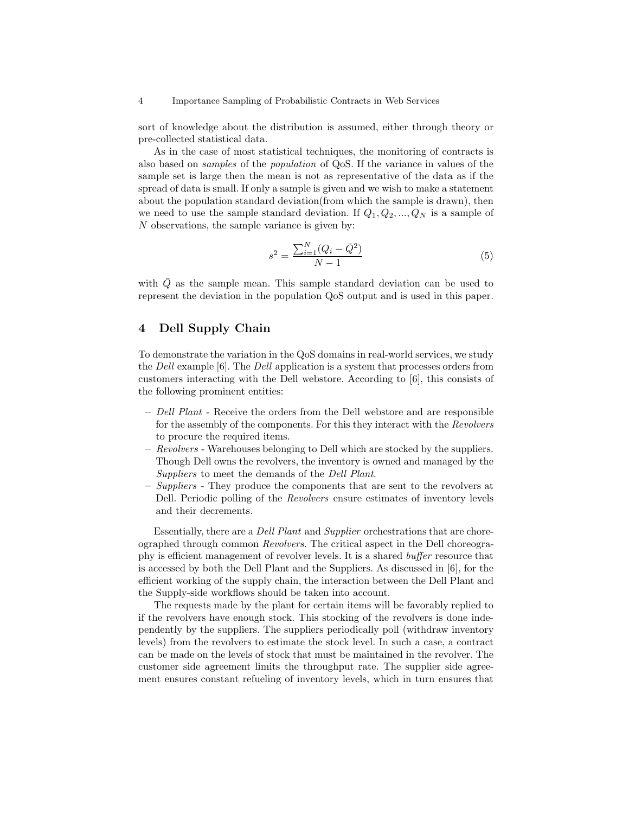sort of knowledge about the distribution is assumed, either through theory or pre-collected statistical data.

As in the case of most statistical techniques, the monitoring of contracts is also based on samples of the population of QoS. If the variance in values of the sample set is large then the mean is not as representative of the data as if the spread of data is small. If only a sample is given and we wish to make a statement about the population standard deviation(from which the sample is drawn), then we need to use the sample standard deviation. If  $Q_1, Q_2, ..., Q_N$  is a sample of  $N$  observations, the sample variance is given by:

$$
s^{2} = \frac{\sum_{i=1}^{N} (Q_{i} - \bar{Q}^{2})}{N - 1}
$$
\n(5)

with  $\overline{Q}$  as the sample mean. This sample standard deviation can be used to represent the deviation in the population QoS output and is used in this paper.

## 4 Dell Supply Chain

To demonstrate the variation in the QoS domains in real-world services, we study the Dell example [6]. The Dell application is a system that processes orders from customers interacting with the Dell webstore. According to [6], this consists of the following prominent entities:

- Dell Plant Receive the orders from the Dell webstore and are responsible for the assembly of the components. For this they interact with the Revolvers to procure the required items.
- Revolvers Warehouses belonging to Dell which are stocked by the suppliers. Though Dell owns the revolvers, the inventory is owned and managed by the Suppliers to meet the demands of the Dell Plant.
- Suppliers They produce the components that are sent to the revolvers at Dell. Periodic polling of the Revolvers ensure estimates of inventory levels and their decrements.

Essentially, there are a Dell Plant and Supplier orchestrations that are choreographed through common Revolvers. The critical aspect in the Dell choreography is efficient management of revolver levels. It is a shared buffer resource that is accessed by both the Dell Plant and the Suppliers. As discussed in [6], for the efficient working of the supply chain, the interaction between the Dell Plant and the Supply-side workflows should be taken into account.

The requests made by the plant for certain items will be favorably replied to if the revolvers have enough stock. This stocking of the revolvers is done independently by the suppliers. The suppliers periodically poll (withdraw inventory levels) from the revolvers to estimate the stock level. In such a case, a contract can be made on the levels of stock that must be maintained in the revolver. The customer side agreement limits the throughput rate. The supplier side agreement ensures constant refueling of inventory levels, which in turn ensures that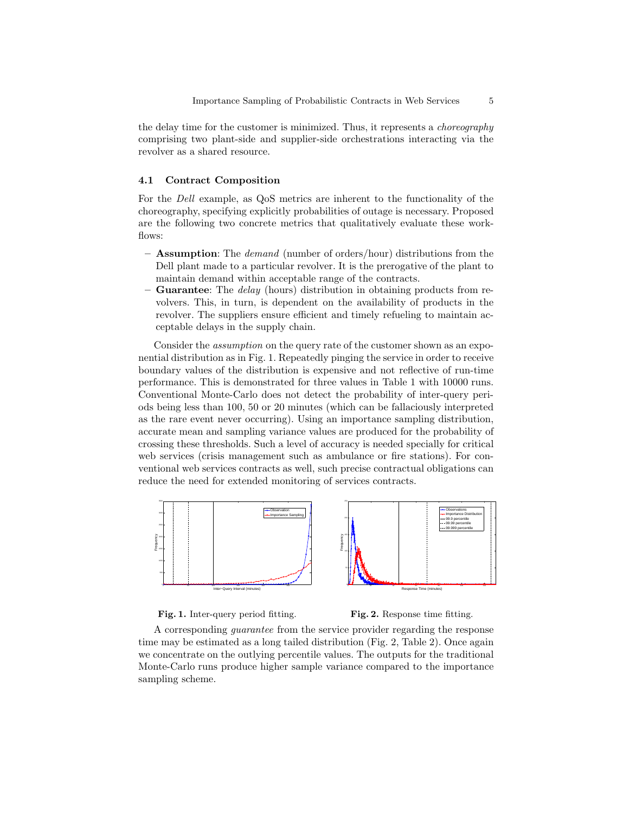the delay time for the customer is minimized. Thus, it represents a choreography comprising two plant-side and supplier-side orchestrations interacting via the revolver as a shared resource.

#### 4.1 Contract Composition

For the Dell example, as QoS metrics are inherent to the functionality of the choreography, specifying explicitly probabilities of outage is necessary. Proposed are the following two concrete metrics that qualitatively evaluate these workflows:

- $-$  **Assumption**: The *demand* (number of orders/hour) distributions from the Dell plant made to a particular revolver. It is the prerogative of the plant to maintain demand within acceptable range of the contracts.
- Guarantee: The delay (hours) distribution in obtaining products from revolvers. This, in turn, is dependent on the availability of products in the revolver. The suppliers ensure efficient and timely refueling to maintain acceptable delays in the supply chain.

Consider the assumption on the query rate of the customer shown as an exponential distribution as in Fig. 1. Repeatedly pinging the service in order to receive boundary values of the distribution is expensive and not reflective of run-time performance. This is demonstrated for three values in Table 1 with 10000 runs. Conventional Monte-Carlo does not detect the probability of inter-query periods being less than 100, 50 or 20 minutes (which can be fallaciously interpreted as the rare event never occurring). Using an importance sampling distribution, accurate mean and sampling variance values are produced for the probability of crossing these thresholds. Such a level of accuracy is needed specially for critical web services (crisis management such as ambulance or fire stations). For conventional web services contracts as well, such precise contractual obligations can reduce the need for extended monitoring of services contracts.



Fig. 1. Inter-query period fitting.

Fig. 2. Response time fitting.

A corresponding guarantee from the service provider regarding the response time may be estimated as a long tailed distribution (Fig. 2, Table 2). Once again we concentrate on the outlying percentile values. The outputs for the traditional Monte-Carlo runs produce higher sample variance compared to the importance sampling scheme.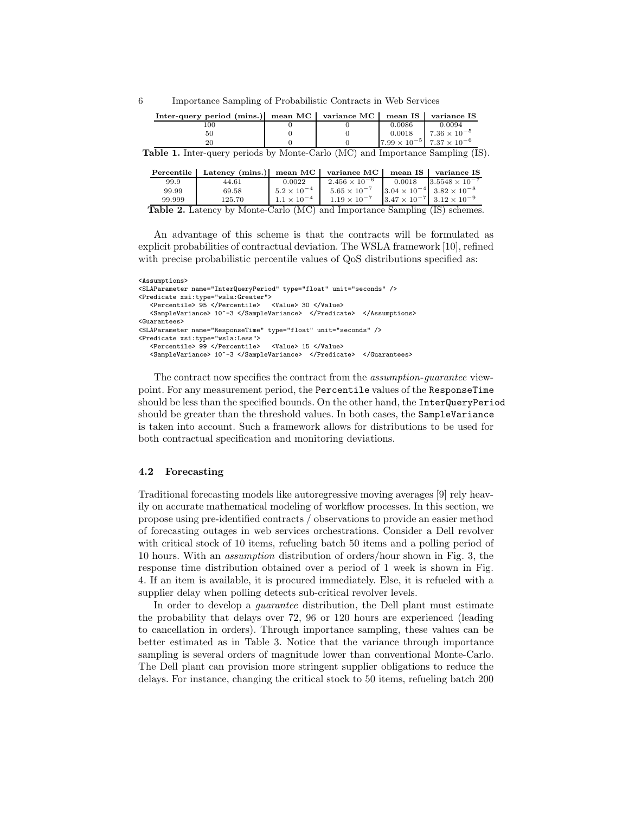6 Importance Sampling of Probabilistic Contracts in Web Services

| Inter-query period (mins.) mean MC $\vert$ variance MC $\vert$                        |  |  | meanIS | variance IS                                   |  |
|---------------------------------------------------------------------------------------|--|--|--------|-----------------------------------------------|--|
| 100                                                                                   |  |  | 0.0086 | 0.0094                                        |  |
| 50                                                                                    |  |  | 0.0018 | $7.36 \times 10^{-5}$                         |  |
| 20                                                                                    |  |  |        | $ 7.99 \times 10^{-5} $ 7.37 $\times 10^{-6}$ |  |
| <b>Table 1.</b> Inter-query periods by Monte-Carlo (MC) and Importance Sampling (IS). |  |  |        |                                               |  |

| Percentile | Latency (mins.)                |                      | mean MC variance MC l                                                                                                                                                                                                                                                                                                              | mean IS | variance IS                                 |
|------------|--------------------------------|----------------------|------------------------------------------------------------------------------------------------------------------------------------------------------------------------------------------------------------------------------------------------------------------------------------------------------------------------------------|---------|---------------------------------------------|
| 99.9       | 44.61                          | 0.0022               | $2.456 \times 10^{-6}$                                                                                                                                                                                                                                                                                                             | 0.0018  | $3.5548 \times 10^{-7}$                     |
| 99.99      | 69.58                          | $5.2 \times 10^{-4}$ | $5.65 \times 10^{-7}$                                                                                                                                                                                                                                                                                                              |         | $3.04 \times 10^{-4}$ $3.82 \times 10^{-8}$ |
| 99.999     | 125.70                         | $1.1 \times 10^{-4}$ | $1.19 \times 10^{-7}$                                                                                                                                                                                                                                                                                                              |         | $3.47 \times 10^{-7}$ $3.12 \times 10^{-9}$ |
| ה ווה      | $\sim$ 1 M $\sim$ 0 1 M $\sim$ |                      | $\mathbf{1}$ $\mathbf{r}$ $\mathbf{r}$ $\mathbf{r}$ $\mathbf{r}$ $\mathbf{r}$ $\mathbf{r}$ $\mathbf{r}$ $\mathbf{r}$ $\mathbf{r}$ $\mathbf{r}$ $\mathbf{r}$ $\mathbf{r}$ $\mathbf{r}$ $\mathbf{r}$ $\mathbf{r}$ $\mathbf{r}$ $\mathbf{r}$ $\mathbf{r}$ $\mathbf{r}$ $\mathbf{r}$ $\mathbf{r}$ $\mathbf{r}$ $\mathbf{r}$ $\mathbf{$ |         |                                             |

Table 2. Latency by Monte-Carlo (MC) and Importance Sampling (IS) schemes.

An advantage of this scheme is that the contracts will be formulated as explicit probabilities of contractual deviation. The WSLA framework [10], refined with precise probabilistic percentile values of QoS distributions specified as:

```
<Assumptions>
<SLAParameter name="InterQueryPeriod" type="float" unit="seconds" />
<Predicate xsi:type="wsla:Greater">
   <Percentile> 95 </Percentile> <Value> 30 </Value>
   <SampleVariance> 10^-3 </SampleVariance> </Predicate> </Assumptions>
<Guarantees>
<SLAParameter name="ResponseTime" type="float" unit="seconds" />
<Predicate xsi:type="wsla:Less">
   <Percentile> 99 </Percentile> <Value> 15 </Value>
   <SampleVariance> 10^-3 </SampleVariance> </Predicate> </Guarantees>
```
The contract now specifies the contract from the assumption-guarantee viewpoint. For any measurement period, the Percentile values of the ResponseTime should be less than the specified bounds. On the other hand, the InterQueryPeriod should be greater than the threshold values. In both cases, the SampleVariance is taken into account. Such a framework allows for distributions to be used for both contractual specification and monitoring deviations.

#### 4.2 Forecasting

Traditional forecasting models like autoregressive moving averages [9] rely heavily on accurate mathematical modeling of workflow processes. In this section, we propose using pre-identified contracts / observations to provide an easier method of forecasting outages in web services orchestrations. Consider a Dell revolver with critical stock of 10 items, refueling batch 50 items and a polling period of 10 hours. With an assumption distribution of orders/hour shown in Fig. 3, the response time distribution obtained over a period of 1 week is shown in Fig. 4. If an item is available, it is procured immediately. Else, it is refueled with a supplier delay when polling detects sub-critical revolver levels.

In order to develop a guarantee distribution, the Dell plant must estimate the probability that delays over 72, 96 or 120 hours are experienced (leading to cancellation in orders). Through importance sampling, these values can be better estimated as in Table 3. Notice that the variance through importance sampling is several orders of magnitude lower than conventional Monte-Carlo. The Dell plant can provision more stringent supplier obligations to reduce the delays. For instance, changing the critical stock to 50 items, refueling batch 200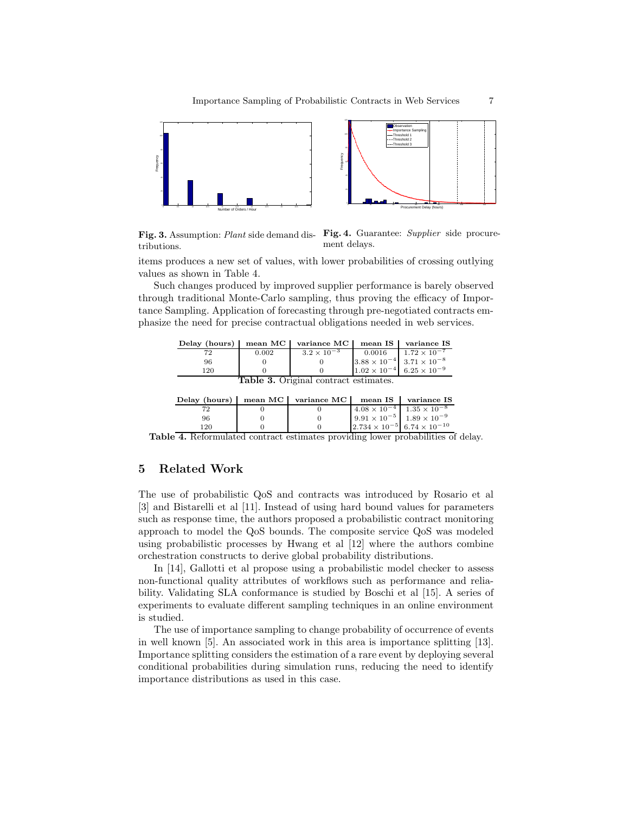

Fig. 3. Assumption: Plant side demand dis- Fig. 4. Guarantee: Supplier side procuretributions. ment delays.

items produces a new set of values, with lower probabilities of crossing outlying values as shown in Table 4.

Such changes produced by improved supplier performance is barely observed through traditional Monte-Carlo sampling, thus proving the efficacy of Importance Sampling. Application of forecasting through pre-negotiated contracts emphasize the need for precise contractual obligations needed in web services.

| Delay (hours)                                |       | mean MC variance MC  |  | mean IS variance IS                         |  |
|----------------------------------------------|-------|----------------------|--|---------------------------------------------|--|
|                                              | 0.002 | $3.2 \times 10^{-3}$ |  | $0.0016$ $1.72 \times 10^{-7}$              |  |
| 96                                           |       |                      |  | $3.88 \times 10^{-4}$ $3.71 \times 10^{-8}$ |  |
| 120                                          |       |                      |  | $1.02 \times 10^{-4}$ 6.25 $\times 10^{-9}$ |  |
| <b>Table 3.</b> Original contract estimates. |       |                      |  |                                             |  |

|     | Delay (hours)   mean MC   variance MC   mean IS   variance IS |                                               |
|-----|---------------------------------------------------------------|-----------------------------------------------|
| רי  |                                                               | $1.08 \times 10^{-4}$ 1.35 $\times 10^{-8}$   |
| 96  |                                                               | $9.91 \times 10^{-5}$ 1.89 $\times 10^{-9}$   |
| 120 |                                                               | $2.734 \times 10^{-5}$ 6.74 $\times 10^{-10}$ |

Table 4. Reformulated contract estimates providing lower probabilities of delay.

## 5 Related Work

The use of probabilistic QoS and contracts was introduced by Rosario et al [3] and Bistarelli et al [11]. Instead of using hard bound values for parameters such as response time, the authors proposed a probabilistic contract monitoring approach to model the QoS bounds. The composite service QoS was modeled using probabilistic processes by Hwang et al [12] where the authors combine orchestration constructs to derive global probability distributions.

In [14], Gallotti et al propose using a probabilistic model checker to assess non-functional quality attributes of workflows such as performance and reliability. Validating SLA conformance is studied by Boschi et al [15]. A series of experiments to evaluate different sampling techniques in an online environment is studied.

The use of importance sampling to change probability of occurrence of events in well known [5]. An associated work in this area is importance splitting [13]. Importance splitting considers the estimation of a rare event by deploying several conditional probabilities during simulation runs, reducing the need to identify importance distributions as used in this case.